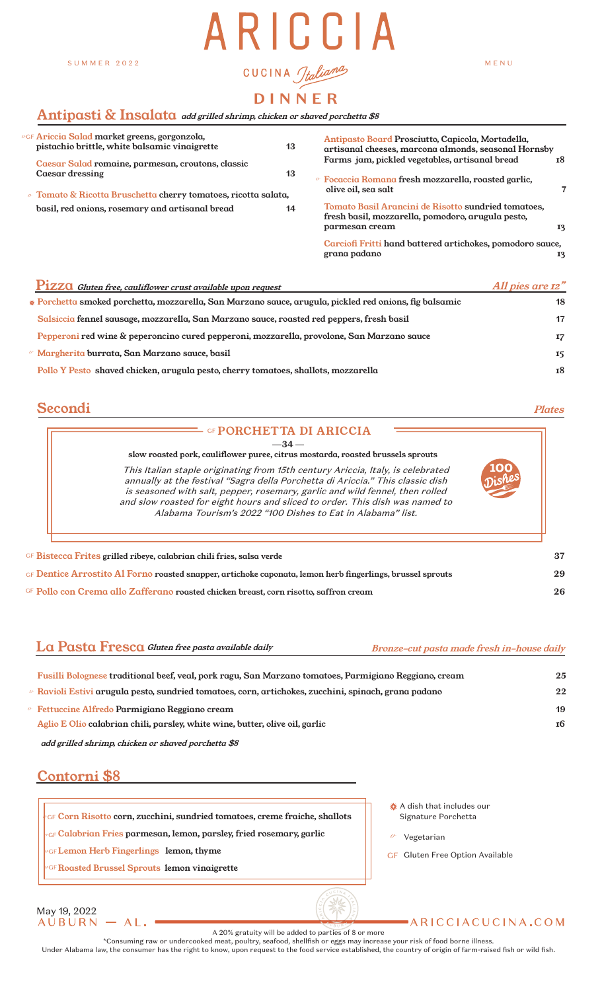#### SUMMER 2022

# ARICCIA CUCINA Jtalianas

MENU

# **DINNER**

#### $\quad$ nti ${\bf pasti\ \&\ Insald$  add grilled shrimp, chicken or shaved porchetta \$8

| <i>u</i> gf <b>Ariccia Salad market greens, gorgonzola,</b><br>pistachio brittle, white balsamic vinaigrette | 13 | Antipasto Board Prosciutto, Capicola, Mortadella,<br>artisanal cheeses, marcona almonds, seasonal Hornsby                  |           |
|--------------------------------------------------------------------------------------------------------------|----|----------------------------------------------------------------------------------------------------------------------------|-----------|
| Caesar Salad romaine, parmesan, croutons, classic<br>Caesar dressing                                         | 13 | Farms jam, pickled vegetables, artisanal bread<br>$\circ$ Focaccia Romana fresh mozzarella, roasted garlic,                | <b>18</b> |
| $\alpha$ Tomato & Ricotta Bruschetta cherry tomatoes, ricotta salata,                                        |    | olive oil, sea salt                                                                                                        |           |
| basil, red onions, rosemary and artisanal bread                                                              | 14 | Tomato Basil Arancini de Risotto sundried tomatoes,<br>fresh basil, mozzarella, pomodoro, arugula pesto,<br>parmesan cream | 13        |
|                                                                                                              |    | Carciofi Fritti hand battered artichokes, pomodoro sauce,<br>grana padano                                                  | 13        |
|                                                                                                              |    |                                                                                                                            |           |

| Pizza Gluten free, cauliflower crust available upon request                                            | All pies are 12" |
|--------------------------------------------------------------------------------------------------------|------------------|
| » Porchetta smoked porchetta, mozzarella, San Marzano sauce, arugula, pickled red onions, fig balsamic | 18               |
| Salsiccia fennel sausage, mozzarella, San Marzano sauce, roasted red peppers, fresh basil              | 17               |
| Pepperoni red wine & peperoncino cured pepperoni, mozzarella, provolone, San Marzano sauce             | 17               |
| $\circ$ Margherita burrata, San Marzano sauce, basil                                                   | 15               |
| Pollo Y Pesto shaved chicken, arugula pesto, cherry tomatoes, shallots, mozzarella                     | 18               |

# **Secondi** Plates

| This Italian staple originating from 15th century Ariccia, Italy, is celebrated<br>annually at the festival "Sagra della Porchetta di Ariccia." This classic dish<br>is seasoned with salt, pepper, rosemary, garlic and wild fennel, then rolled<br>and slow roasted for eight hours and sliced to order. This dish was named to<br>Alabama Tourism's 2022 "100 Dishes to Eat in Alabama" list. |
|--------------------------------------------------------------------------------------------------------------------------------------------------------------------------------------------------------------------------------------------------------------------------------------------------------------------------------------------------------------------------------------------------|
|                                                                                                                                                                                                                                                                                                                                                                                                  |

Pollo con Crema allo Zafferano roasted chicken breast, corn risotto, saffron cream **26** GF

La Pasta Fresca Gluten free pasta available daily Bronze-cut pasta made fresh in-house daily

| Fusilli Bolognese traditional beef, veal, pork ragu, San Marzano tomatoes, Parmigiano Reggiano, cream     | 25 |
|-----------------------------------------------------------------------------------------------------------|----|
| $\ell$ Ravioli Estivi arugula pesto, sundried tomatoes, corn, artichokes, zucchini, spinach, grana padano | 22 |
| $\ell$ Fettuccine Alfredo Parmigiano Reggiano cream                                                       | 19 |
| Aglio E Olio calabrian chili, parsley, white wine, butter, olive oil, garlic                              | 16 |
|                                                                                                           |    |

add grilled shrimp, chicken or shaved porchetta \$8

# Contorni \$8

- Corn Risotto corn, zucchini, sundried tomatoes, creme fraiche, shallots *v*GF
- Calabrian Fries parmesan, lemon, parsley, fried rosemary, garlic *v*GF
- Lemon Herb Fingerlings lemon, thyme *v*GF
- Roasted Brussel Sprouts lemon vinaigrette *v*GF
- **※ A dish that includes our** Signature Porchetta
- Vegetarian *v*
- GF Gluten Free Option Available

ARICCIACUCINA.COM

#### May 19, 2022<br>A U B U R N  $-AL.$

A 20% gratuity will be added to parties of 8 or more

\*Consuming raw or undercooked meat, poultry, seafood, shellfish or eggs may increase your risk of food borne illness. Under Alabama law, the consumer has the right to know, upon request to the food service established, the country of origin of farm-raised fish or wild fish.